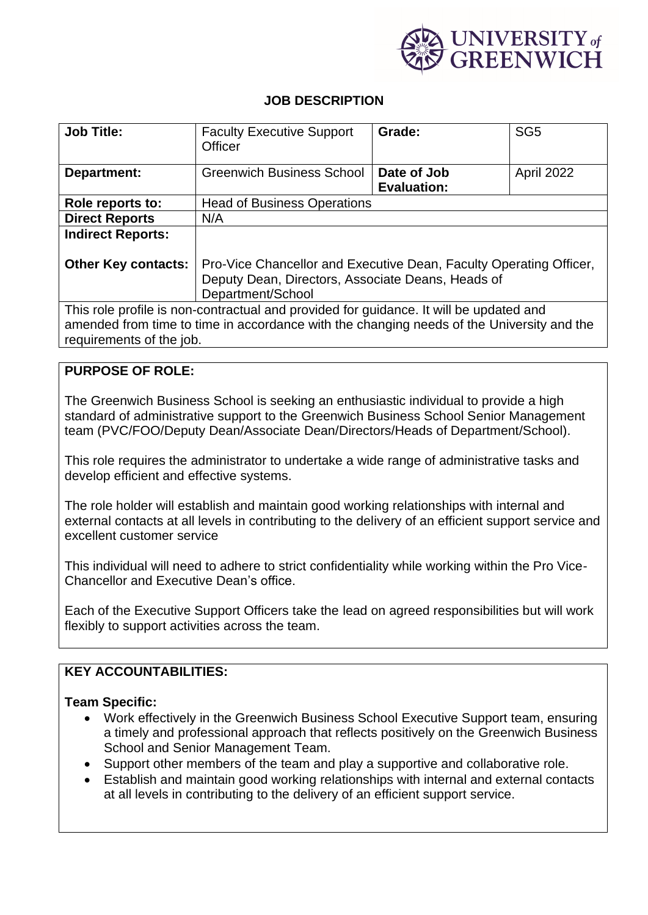

# **JOB DESCRIPTION**

| <b>Job Title:</b>                                                                         | <b>Faculty Executive Support</b>                                   | Grade:             | SG <sub>5</sub> |
|-------------------------------------------------------------------------------------------|--------------------------------------------------------------------|--------------------|-----------------|
|                                                                                           | Officer                                                            |                    |                 |
|                                                                                           |                                                                    |                    |                 |
|                                                                                           |                                                                    |                    |                 |
| Department:                                                                               | <b>Greenwich Business School</b>                                   | Date of Job        | April 2022      |
|                                                                                           |                                                                    | <b>Evaluation:</b> |                 |
|                                                                                           |                                                                    |                    |                 |
| Role reports to:                                                                          | <b>Head of Business Operations</b>                                 |                    |                 |
| <b>Direct Reports</b>                                                                     | N/A                                                                |                    |                 |
| <b>Indirect Reports:</b>                                                                  |                                                                    |                    |                 |
|                                                                                           |                                                                    |                    |                 |
|                                                                                           |                                                                    |                    |                 |
| <b>Other Key contacts:</b>                                                                | Pro-Vice Chancellor and Executive Dean, Faculty Operating Officer, |                    |                 |
|                                                                                           | Deputy Dean, Directors, Associate Deans, Heads of                  |                    |                 |
|                                                                                           |                                                                    |                    |                 |
|                                                                                           | Department/School                                                  |                    |                 |
| This role profile is non-contractual and provided for guidance. It will be updated and    |                                                                    |                    |                 |
|                                                                                           |                                                                    |                    |                 |
| amended from time to time in accordance with the changing needs of the University and the |                                                                    |                    |                 |
| requirements of the job.                                                                  |                                                                    |                    |                 |

### **PURPOSE OF ROLE:**

The Greenwich Business School is seeking an enthusiastic individual to provide a high standard of administrative support to the Greenwich Business School Senior Management team (PVC/FOO/Deputy Dean/Associate Dean/Directors/Heads of Department/School).

This role requires the administrator to undertake a wide range of administrative tasks and develop efficient and effective systems.

The role holder will establish and maintain good working relationships with internal and external contacts at all levels in contributing to the delivery of an efficient support service and excellent customer service

This individual will need to adhere to strict confidentiality while working within the Pro Vice-Chancellor and Executive Dean's office.

Each of the Executive Support Officers take the lead on agreed responsibilities but will work flexibly to support activities across the team.

# **KEY ACCOUNTABILITIES:**

#### **Team Specific:**

- Work effectively in the Greenwich Business School Executive Support team, ensuring a timely and professional approach that reflects positively on the Greenwich Business School and Senior Management Team.
- Support other members of the team and play a supportive and collaborative role.
- Establish and maintain good working relationships with internal and external contacts at all levels in contributing to the delivery of an efficient support service.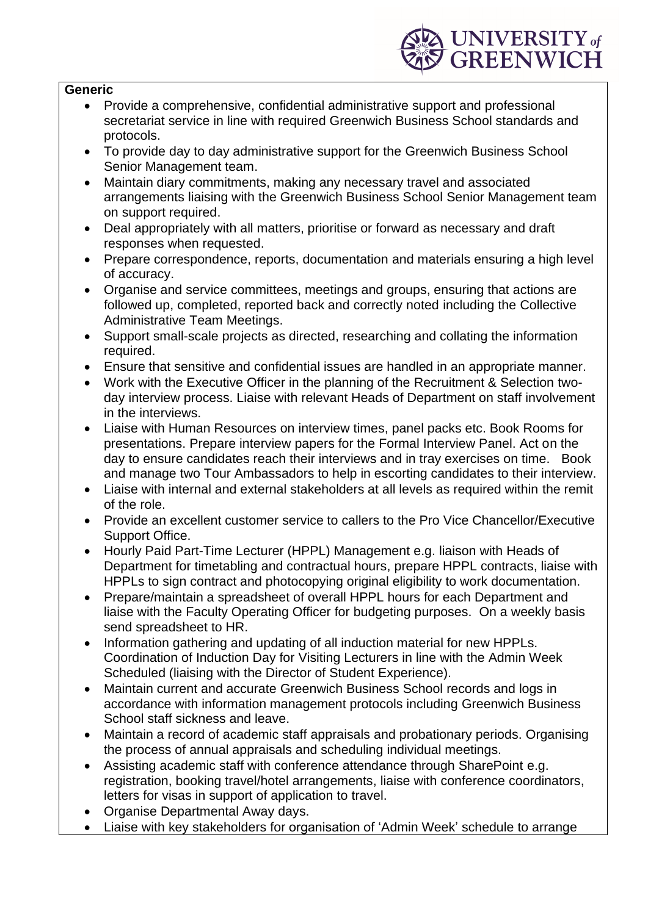

#### **Generic**

- Provide a comprehensive, confidential administrative support and professional secretariat service in line with required Greenwich Business School standards and protocols.
- To provide day to day administrative support for the Greenwich Business School Senior Management team.
- Maintain diary commitments, making any necessary travel and associated arrangements liaising with the Greenwich Business School Senior Management team on support required.
- Deal appropriately with all matters, prioritise or forward as necessary and draft responses when requested.
- Prepare correspondence, reports, documentation and materials ensuring a high level of accuracy.
- Organise and service committees, meetings and groups, ensuring that actions are followed up, completed, reported back and correctly noted including the Collective Administrative Team Meetings.
- Support small-scale projects as directed, researching and collating the information required.
- Ensure that sensitive and confidential issues are handled in an appropriate manner.
- Work with the Executive Officer in the planning of the Recruitment & Selection twoday interview process. Liaise with relevant Heads of Department on staff involvement in the interviews.
- Liaise with Human Resources on interview times, panel packs etc. Book Rooms for presentations. Prepare interview papers for the Formal Interview Panel. Act on the day to ensure candidates reach their interviews and in tray exercises on time. Book and manage two Tour Ambassadors to help in escorting candidates to their interview.
- Liaise with internal and external stakeholders at all levels as required within the remit of the role.
- Provide an excellent customer service to callers to the Pro Vice Chancellor/Executive Support Office.
- Hourly Paid Part-Time Lecturer (HPPL) Management e.g. liaison with Heads of Department for timetabling and contractual hours, prepare HPPL contracts, liaise with HPPLs to sign contract and photocopying original eligibility to work documentation.
- Prepare/maintain a spreadsheet of overall HPPL hours for each Department and liaise with the Faculty Operating Officer for budgeting purposes. On a weekly basis send spreadsheet to HR.
- Information gathering and updating of all induction material for new HPPLs. Coordination of Induction Day for Visiting Lecturers in line with the Admin Week Scheduled (liaising with the Director of Student Experience).
- Maintain current and accurate Greenwich Business School records and logs in accordance with information management protocols including Greenwich Business School staff sickness and leave.
- Maintain a record of academic staff appraisals and probationary periods. Organising the process of annual appraisals and scheduling individual meetings.
- Assisting academic staff with conference attendance through SharePoint e.g. registration, booking travel/hotel arrangements, liaise with conference coordinators, letters for visas in support of application to travel.
- Organise Departmental Away days.
- Liaise with key stakeholders for organisation of 'Admin Week' schedule to arrange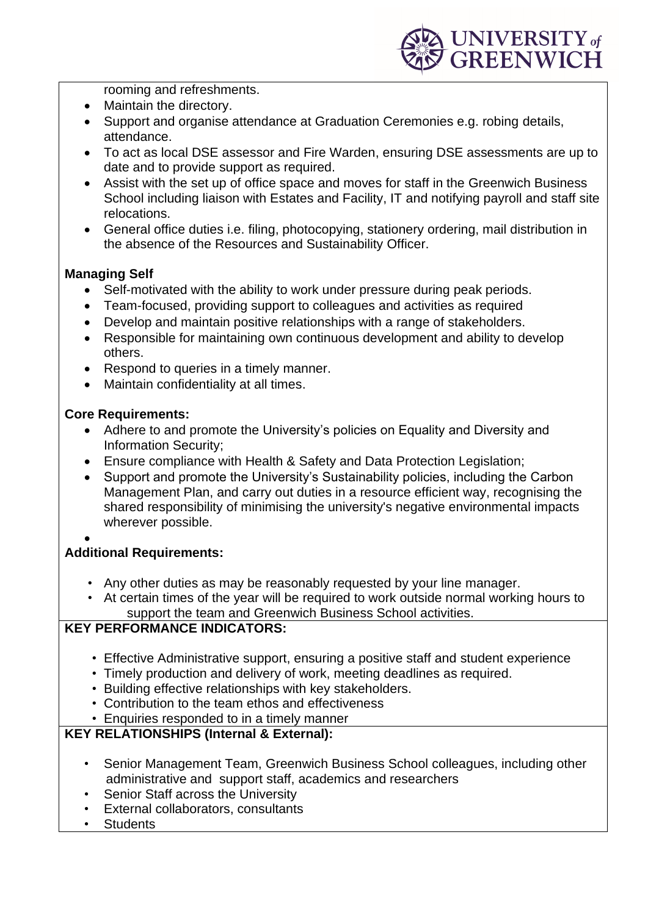

rooming and refreshments.

- Maintain the directory.
- Support and organise attendance at Graduation Ceremonies e.g. robing details, attendance.
- To act as local DSE assessor and Fire Warden, ensuring DSE assessments are up to date and to provide support as required.
- Assist with the set up of office space and moves for staff in the Greenwich Business School including liaison with Estates and Facility, IT and notifying payroll and staff site relocations.
- General office duties i.e. filing, photocopying, stationery ordering, mail distribution in the absence of the Resources and Sustainability Officer.

# **Managing Self**

- Self-motivated with the ability to work under pressure during peak periods.
- Team-focused, providing support to colleagues and activities as required
- Develop and maintain positive relationships with a range of stakeholders.
- Responsible for maintaining own continuous development and ability to develop others.
- Respond to queries in a timely manner.
- Maintain confidentiality at all times.

### **Core Requirements:**

- Adhere to and promote the University's policies on Equality and Diversity and Information Security;
- Ensure compliance with Health & Safety and Data Protection Legislation;
- Support and promote the University's Sustainability policies, including the Carbon Management Plan, and carry out duties in a resource efficient way, recognising the shared responsibility of minimising the university's negative environmental impacts wherever possible.
- •

# **Additional Requirements:**

- Any other duties as may be reasonably requested by your line manager.
- At certain times of the year will be required to work outside normal working hours to support the team and Greenwich Business School activities.

# **KEY PERFORMANCE INDICATORS:**

- Effective Administrative support, ensuring a positive staff and student experience
- Timely production and delivery of work, meeting deadlines as required.
- Building effective relationships with key stakeholders.
- Contribution to the team ethos and effectiveness
- Enquiries responded to in a timely manner

# **KEY RELATIONSHIPS (Internal & External):**

- Senior Management Team, Greenwich Business School colleagues, including other administrative and support staff, academics and researchers
- Senior Staff across the University
- External collaborators, consultants
- Students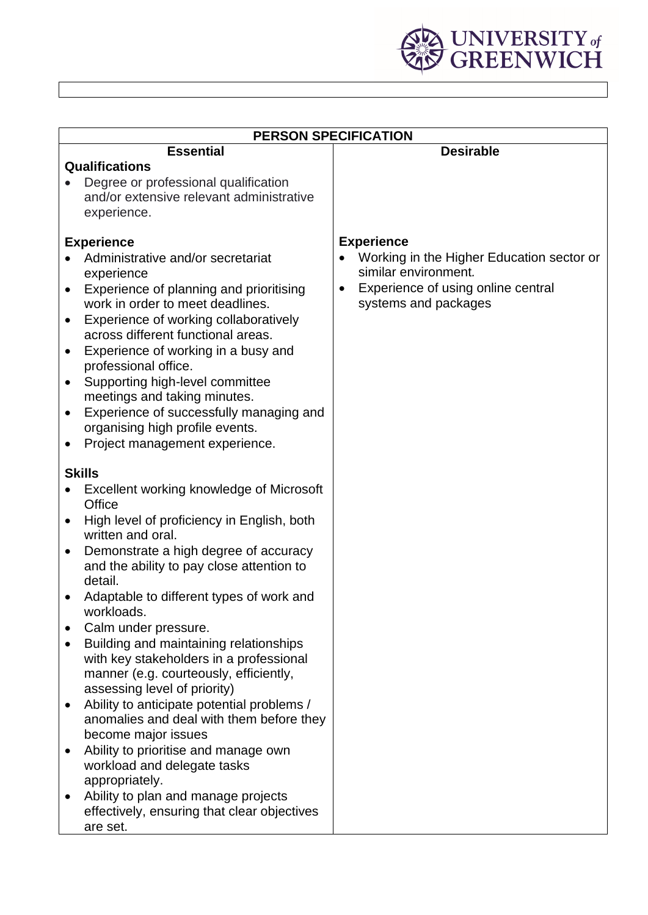

| <b>PERSON SPECIFICATION</b>                                                                                                                                                                                                                                                                                                                                                                                                                                                                                                                                                                                                                                                                                                                                                                                    |                                                                                                                                              |  |  |
|----------------------------------------------------------------------------------------------------------------------------------------------------------------------------------------------------------------------------------------------------------------------------------------------------------------------------------------------------------------------------------------------------------------------------------------------------------------------------------------------------------------------------------------------------------------------------------------------------------------------------------------------------------------------------------------------------------------------------------------------------------------------------------------------------------------|----------------------------------------------------------------------------------------------------------------------------------------------|--|--|
| <b>Essential</b>                                                                                                                                                                                                                                                                                                                                                                                                                                                                                                                                                                                                                                                                                                                                                                                               | <b>Desirable</b>                                                                                                                             |  |  |
| <b>Qualifications</b>                                                                                                                                                                                                                                                                                                                                                                                                                                                                                                                                                                                                                                                                                                                                                                                          |                                                                                                                                              |  |  |
| Degree or professional qualification<br>and/or extensive relevant administrative<br>experience.                                                                                                                                                                                                                                                                                                                                                                                                                                                                                                                                                                                                                                                                                                                |                                                                                                                                              |  |  |
| <b>Experience</b>                                                                                                                                                                                                                                                                                                                                                                                                                                                                                                                                                                                                                                                                                                                                                                                              | <b>Experience</b>                                                                                                                            |  |  |
| Administrative and/or secretariat<br>experience<br>Experience of planning and prioritising<br>$\bullet$<br>work in order to meet deadlines.<br>Experience of working collaboratively<br>٠<br>across different functional areas.<br>Experience of working in a busy and<br>٠                                                                                                                                                                                                                                                                                                                                                                                                                                                                                                                                    | Working in the Higher Education sector or<br>similar environment.<br>Experience of using online central<br>$\bullet$<br>systems and packages |  |  |
| professional office.<br>Supporting high-level committee<br>٠<br>meetings and taking minutes.                                                                                                                                                                                                                                                                                                                                                                                                                                                                                                                                                                                                                                                                                                                   |                                                                                                                                              |  |  |
| Experience of successfully managing and<br>$\bullet$<br>organising high profile events.                                                                                                                                                                                                                                                                                                                                                                                                                                                                                                                                                                                                                                                                                                                        |                                                                                                                                              |  |  |
| Project management experience.<br>٠                                                                                                                                                                                                                                                                                                                                                                                                                                                                                                                                                                                                                                                                                                                                                                            |                                                                                                                                              |  |  |
| <b>Skills</b><br>Excellent working knowledge of Microsoft<br>Office<br>High level of proficiency in English, both<br>٠<br>written and oral.<br>Demonstrate a high degree of accuracy<br>٠<br>and the ability to pay close attention to<br>detail.<br>Adaptable to different types of work and<br>workloads.<br>Calm under pressure.<br>Building and maintaining relationships<br>with key stakeholders in a professional<br>manner (e.g. courteously, efficiently,<br>assessing level of priority)<br>Ability to anticipate potential problems /<br>anomalies and deal with them before they<br>become major issues<br>Ability to prioritise and manage own<br>workload and delegate tasks<br>appropriately.<br>Ability to plan and manage projects<br>effectively, ensuring that clear objectives<br>are set. |                                                                                                                                              |  |  |